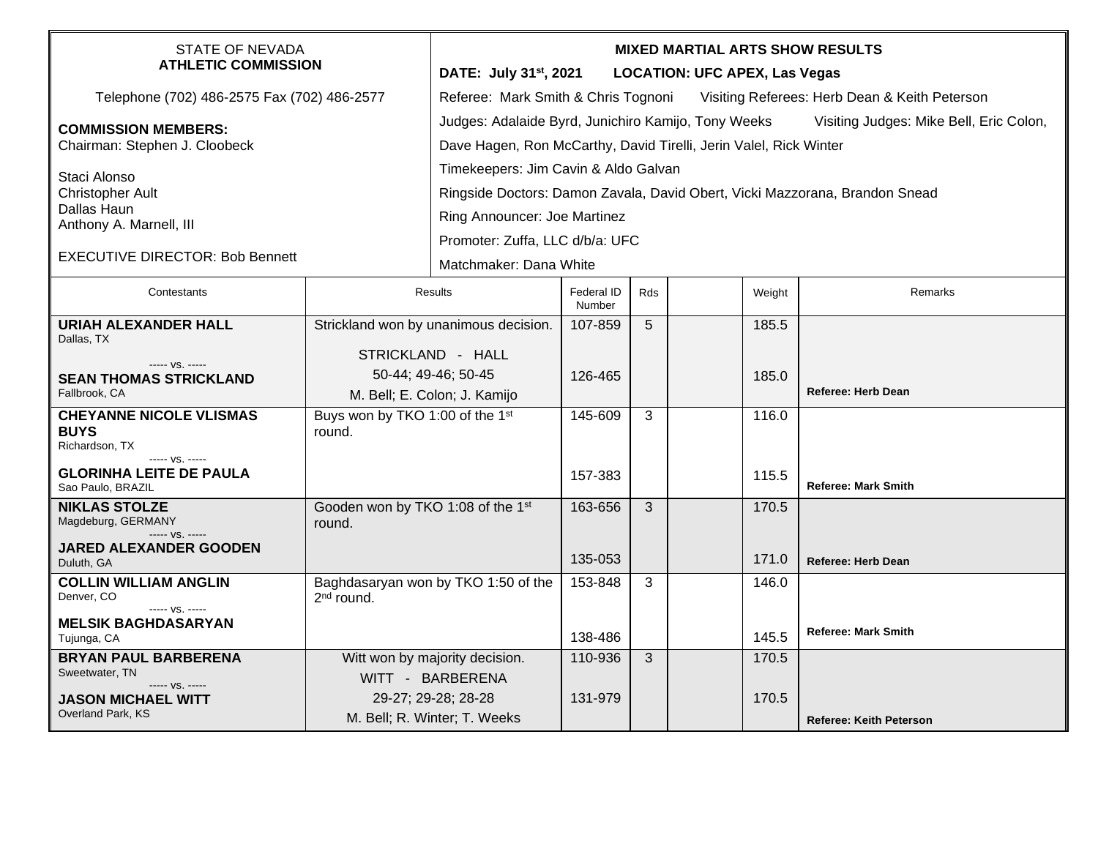| <b>STATE OF NEVADA</b><br><b>ATHLETIC COMMISSION</b>                              |                                                            | <b>MIXED MARTIAL ARTS SHOW RESULTS</b><br>DATE: July 31 <sup>st</sup> , 2021<br><b>LOCATION: UFC APEX, Las Vegas</b>                                                |                      |     |  |        |                                |  |  |
|-----------------------------------------------------------------------------------|------------------------------------------------------------|---------------------------------------------------------------------------------------------------------------------------------------------------------------------|----------------------|-----|--|--------|--------------------------------|--|--|
| Telephone (702) 486-2575 Fax (702) 486-2577                                       |                                                            | Referee: Mark Smith & Chris Tognoni<br>Visiting Referees: Herb Dean & Keith Peterson                                                                                |                      |     |  |        |                                |  |  |
| <b>COMMISSION MEMBERS:</b><br>Chairman: Stephen J. Cloobeck                       |                                                            | Judges: Adalaide Byrd, Junichiro Kamijo, Tony Weeks<br>Visiting Judges: Mike Bell, Eric Colon,<br>Dave Hagen, Ron McCarthy, David Tirelli, Jerin Valel, Rick Winter |                      |     |  |        |                                |  |  |
| Staci Alonso<br><b>Christopher Ault</b><br>Dallas Haun<br>Anthony A. Marnell, III |                                                            | Timekeepers: Jim Cavin & Aldo Galvan<br>Ringside Doctors: Damon Zavala, David Obert, Vicki Mazzorana, Brandon Snead<br>Ring Announcer: Joe Martinez                 |                      |     |  |        |                                |  |  |
| <b>EXECUTIVE DIRECTOR: Bob Bennett</b>                                            |                                                            | Promoter: Zuffa, LLC d/b/a: UFC<br>Matchmaker: Dana White                                                                                                           |                      |     |  |        |                                |  |  |
| Contestants                                                                       | Results                                                    |                                                                                                                                                                     | Federal ID<br>Number | Rds |  | Weight | Remarks                        |  |  |
| <b>URIAH ALEXANDER HALL</b><br>Dallas, TX<br>$--- VS. ---$                        | Strickland won by unanimous decision.<br>STRICKLAND - HALL |                                                                                                                                                                     | 107-859              | 5   |  | 185.5  |                                |  |  |
| <b>SEAN THOMAS STRICKLAND</b><br>Fallbrook, CA                                    |                                                            | 50-44; 49-46; 50-45<br>M. Bell; E. Colon; J. Kamijo                                                                                                                 | 126-465              |     |  | 185.0  | <b>Referee: Herb Dean</b>      |  |  |
| <b>CHEYANNE NICOLE VLISMAS</b><br><b>BUYS</b><br>Richardson, TX<br>$--- VS. ---$  | Buys won by TKO 1:00 of the 1st<br>round.                  |                                                                                                                                                                     | 145-609              | 3   |  | 116.0  |                                |  |  |
| <b>GLORINHA LEITE DE PAULA</b><br>Sao Paulo, BRAZIL                               |                                                            |                                                                                                                                                                     | 157-383              |     |  | 115.5  | <b>Referee: Mark Smith</b>     |  |  |
| <b>NIKLAS STOLZE</b><br>Magdeburg, GERMANY<br>$--- VS. ---$                       | Gooden won by TKO 1:08 of the 1st<br>round.                |                                                                                                                                                                     | 163-656              | 3   |  | 170.5  |                                |  |  |
| <b>JARED ALEXANDER GOODEN</b><br>Duluth, GA                                       |                                                            |                                                                                                                                                                     | 135-053              |     |  | 171.0  | Referee: Herb Dean             |  |  |
| <b>COLLIN WILLIAM ANGLIN</b><br>Denver, CO<br>$--- VS. ---$                       | $2nd$ round.                                               | Baghdasaryan won by TKO 1:50 of the                                                                                                                                 | 153-848              | 3   |  | 146.0  |                                |  |  |
| <b>MELSIK BAGHDASARYAN</b><br>Tujunga, CA                                         |                                                            |                                                                                                                                                                     | 138-486              |     |  | 145.5  | <b>Referee: Mark Smith</b>     |  |  |
| <b>BRYAN PAUL BARBERENA</b><br>Sweetwater, TN<br>----- VS. -----                  |                                                            | Witt won by majority decision.<br>WITT - BARBERENA                                                                                                                  | 110-936              | 3   |  | 170.5  |                                |  |  |
| <b>JASON MICHAEL WITT</b><br>Overland Park, KS                                    |                                                            | 29-27; 29-28; 28-28<br>M. Bell; R. Winter; T. Weeks                                                                                                                 | 131-979              |     |  | 170.5  | <b>Referee: Keith Peterson</b> |  |  |